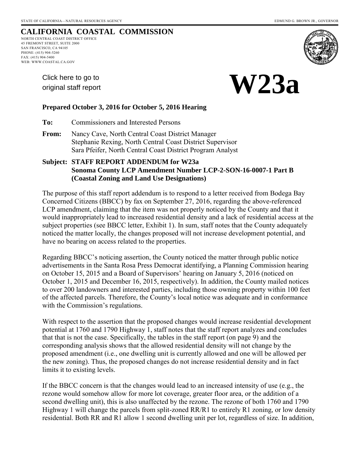**W23a** 

# **CALIFORNIA COASTAL COMMISSION**

NORTH CENTRAL COAST DISTRICT OFFICE 45 FREMONT STREET, SUITE 2000 SAN FRANCISCO, CA 94105 PHONE: (415) 904-5260 FAX: (415) 904-5400 WEB: WWW.COASTAL.CA.GOV

> [Click here to go to](#page-2-0)  original staff report



#### **Prepared October 3, 2016 for October 5, 2016 Hearing**

**To:** Commissioners and Interested Persons

**From:** Nancy Cave, North Central Coast District Manager Stephanie Rexing, North Central Coast District Supervisor Sara Pfeifer, North Central Coast District Program Analyst

#### **Subject: STAFF REPORT ADDENDUM for W23a Sonoma County LCP Amendment Number LCP-2-SON-16-0007-1 Part B (Coastal Zoning and Land Use Designations)**

The purpose of this staff report addendum is to respond to a letter received from Bodega Bay Concerned Citizens (BBCC) by fax on September 27, 2016, regarding the above-referenced LCP amendment, claiming that the item was not properly noticed by the County and that it would inappropriately lead to increased residential density and a lack of residential access at the subject properties (see BBCC letter, Exhibit 1). In sum, staff notes that the County adequately noticed the matter locally, the changes proposed will not increase development potential, and have no bearing on access related to the properties.

Regarding BBCC's noticing assertion, the County noticed the matter through public notice advertisements in the Santa Rosa Press Democrat identifying, a Planning Commission hearing on October 15, 2015 and a Board of Supervisors' hearing on January 5, 2016 (noticed on October 1, 2015 and December 16, 2015, respectively). In addition, the County mailed notices to over 200 landowners and interested parties, including those owning property within 100 feet of the affected parcels. Therefore, the County's local notice was adequate and in conformance with the Commission's regulations.

With respect to the assertion that the proposed changes would increase residential development potential at 1760 and 1790 Highway 1, staff notes that the staff report analyzes and concludes that that is not the case. Specifically, the tables in the staff report (on page 9) and the corresponding analysis shows that the allowed residential density will not change by the proposed amendment (i.e., one dwelling unit is currently allowed and one will be allowed per the new zoning). Thus, the proposed changes do not increase residential density and in fact limits it to existing levels.

If the BBCC concern is that the changes would lead to an increased intensity of use (e.g., the rezone would somehow allow for more lot coverage, greater floor area, or the addition of a second dwelling unit), this is also unaffected by the rezone. The rezone of both 1760 and 1790 Highway 1 will change the parcels from split-zoned RR/R1 to entirely R1 zoning, or low density residential. Both RR and R1 allow 1 second dwelling unit per lot, regardless of size. In addition,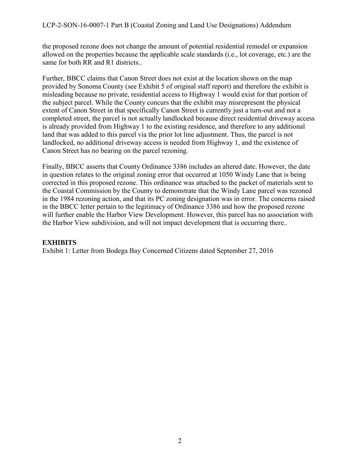#### LCP-2-SON-16-0007-1 Part B (Coastal Zoning and Land Use Designations) Addendum

the proposed rezone does not change the amount of potential residential remodel or expansion allowed on the properties because the applicable scale standards (i.e., lot coverage, etc.) are the same for both RR and R1 districts..

Further, BBCC claims that Canon Street does not exist at the location shown on the map provided by Sonoma County (see Exhibit 5 of original staff report) and therefore the exhibit is misleading because no private, residential access to Highway 1 would exist for that portion of the subject parcel. While the County concurs that the exhibit may misrepresent the physical extent of Canon Street in that specifically Canon Street is currently just a turn-out and not a completed street, the parcel is not actually landlocked because direct residential driveway access is already provided from Highway 1 to the existing residence, and therefore to any additional land that was added to this parcel via the prior lot line adjustment. Thus, the parcel is not landlocked, no additional driveway access is needed from Highway 1, and the existence of Canon Street has no bearing on the parcel rezoning.

Finally, BBCC asserts that County Ordinance 3386 includes an altered date. However, the date in question relates to the original zoning error that occurred at 1050 Windy Lane that is being corrected in this proposed rezone. This ordinance was attached to the packet of materials sent to the Coastal Commission by the County to demonstrate that the Windy Lane parcel was rezoned in the 1984 rezoning action, and that its PC zoning designation was in error. The concerns raised in the BBCC letter pertain to the legitimacy of Ordinance 3386 and how the proposed rezone will further enable the Harbor View Development. However, this parcel has no association with the Harbor View subdivision, and will not impact development that is occurring there..

#### **EXHIBITS**

Exhibit 1: Letter from Bodega Bay Concerned Citizens dated September 27, 2016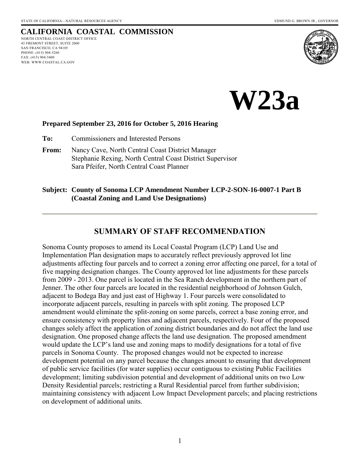# <span id="page-2-0"></span>**CALIFORNIA COASTAL COMMISSION**

NORTH CENTRAL COAST DISTRICT OFFICE 45 FREMONT STREET, SUITE 2000 SAN FRANCISCO, CA 94105 PHONE: (415) 904-5260 FAX: (415) 904-5400 WEB: WWW.COASTAL.CA.GOV



**W23a**

#### **Prepared September 23, 2016 for October 5, 2016 Hearing**

**To:** Commissioners and Interested Persons

**From:** Nancy Cave, North Central Coast District Manager Stephanie Rexing, North Central Coast District Supervisor Sara Pfeifer, North Central Coast Planner

#### **Subject: County of Sonoma LCP Amendment Number LCP-2-SON-16-0007-1 Part B (Coastal Zoning and Land Use Designations)**

#### **SUMMARY OF STAFF RECOMMENDATION**

Sonoma County proposes to amend its Local Coastal Program (LCP) Land Use and Implementation Plan designation maps to accurately reflect previously approved lot line adjustments affecting four parcels and to correct a zoning error affecting one parcel, for a total of five mapping designation changes. The County approved lot line adjustments for these parcels from 2009 - 2013. One parcel is located in the Sea Ranch development in the northern part of Jenner. The other four parcels are located in the residential neighborhood of Johnson Gulch, adjacent to Bodega Bay and just east of Highway 1. Four parcels were consolidated to incorporate adjacent parcels, resulting in parcels with split zoning. The proposed LCP amendment would eliminate the split-zoning on some parcels, correct a base zoning error, and ensure consistency with property lines and adjacent parcels, respectively. Four of the proposed changes solely affect the application of zoning district boundaries and do not affect the land use designation. One proposed change affects the land use designation. The proposed amendment would update the LCP's land use and zoning maps to modify designations for a total of five parcels in Sonoma County. The proposed changes would not be expected to increase development potential on any parcel because the changes amount to ensuring that development of public service facilities (for water supplies) occur contiguous to existing Public Facilities development; limiting subdivision potential and development of additional units on two Low Density Residential parcels; restricting a Rural Residential parcel from further subdivision; maintaining consistency with adjacent Low Impact Development parcels; and placing restrictions on development of additional units.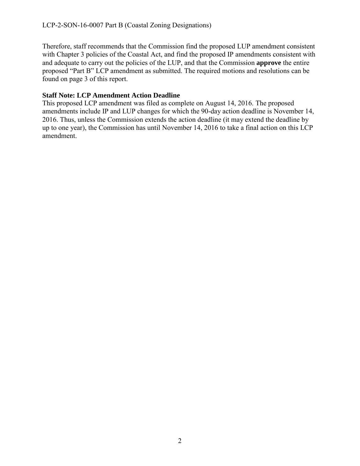Therefore, staff recommends that the Commission find the proposed LUP amendment consistent with Chapter 3 policies of the Coastal Act, and find the proposed IP amendments consistent with and adequate to carry out the policies of the LUP, and that the Commission **approve** the entire proposed "Part B" LCP amendment as submitted. The required motions and resolutions can be found on page 3 of this report.

#### **Staff Note: LCP Amendment Action Deadline**

This proposed LCP amendment was filed as complete on August 14, 2016. The proposed amendments include IP and LUP changes for which the 90-day action deadline is November 14, 2016. Thus, unless the Commission extends the action deadline (it may extend the deadline by up to one year), the Commission has until November 14, 2016 to take a final action on this LCP amendment.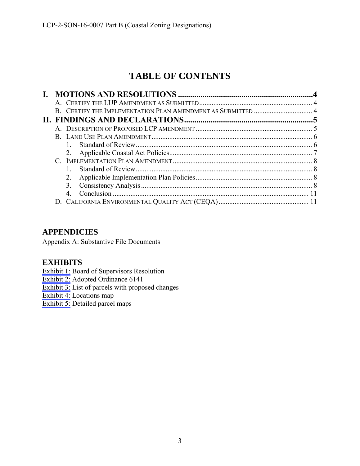# **TABLE OF CONTENTS**

|  | 2.             |  |
|--|----------------|--|
|  | 3.             |  |
|  | 4 <sub>1</sub> |  |
|  |                |  |

# **APPENDICIES**

Appendix A: Substantive File Documents

# **EXHIBITS**

[Exhibit 1:](#page-14-0) Board of Supervisors Resolution

[Exhibit 2:](#page-18-0) Adopted Ordinance 6141

[Exhibit 3:](#page-20-0) List of parcels with proposed changes

[Exhibit 4:](#page-21-0) Locations map

[Exhibit 5:](#page-22-0) Detailed parcel maps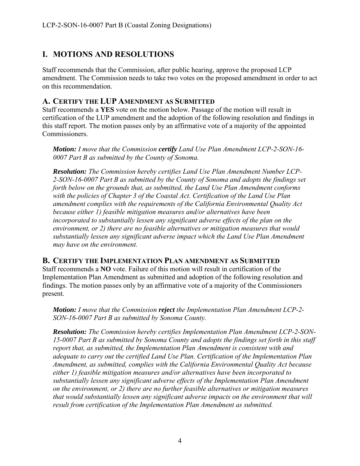# <span id="page-5-0"></span>**I. MOTIONS AND RESOLUTIONS**

Staff recommends that the Commission, after public hearing, approve the proposed LCP amendment. The Commission needs to take two votes on the proposed amendment in order to act on this recommendation.

#### <span id="page-5-1"></span>**A. CERTIFY THE LUP AMENDMENT AS SUBMITTED**

Staff recommends a **YES** vote on the motion below. Passage of the motion will result in certification of the LUP amendment and the adoption of the following resolution and findings in this staff report. The motion passes only by an affirmative vote of a majority of the appointed Commissioners.

*Motion: I move that the Commission certify Land Use Plan Amendment LCP-2-SON-16- 0007 Part B as submitted by the County of Sonoma.* 

*Resolution: The Commission hereby certifies Land Use Plan Amendment Number LCP-2-SON-16-0007 Part B as submitted by the County of Sonoma and adopts the findings set forth below on the grounds that, as submitted, the Land Use Plan Amendment conforms with the policies of Chapter 3 of the Coastal Act. Certification of the Land Use Plan amendment complies with the requirements of the California Environmental Quality Act because either 1) feasible mitigation measures and/or alternatives have been incorporated to substantially lessen any significant adverse effects of the plan on the environment, or 2) there are no feasible alternatives or mitigation measures that would substantially lessen any significant adverse impact which the Land Use Plan Amendment may have on the environment.*

#### <span id="page-5-2"></span>**B. CERTIFY THE IMPLEMENTATION PLAN AMENDMENT AS SUBMITTED**

Staff recommends a **NO** vote. Failure of this motion will result in certification of the Implementation Plan Amendment as submitted and adoption of the following resolution and findings. The motion passes only by an affirmative vote of a majority of the Commissioners present.

*Motion: I move that the Commission reject the Implementation Plan Amendment LCP-2- SON-16-0007 Part B as submitted by Sonoma County.* 

*Resolution: The Commission hereby certifies Implementation Plan Amendment LCP-2-SON-15-0007 Part B as submitted by Sonoma County and adopts the findings set forth in this staff report that, as submitted, the Implementation Plan Amendment is consistent with and adequate to carry out the certified Land Use Plan. Certification of the Implementation Plan Amendment, as submitted, complies with the California Environmental Quality Act because either 1) feasible mitigation measures and/or alternatives have been incorporated to substantially lessen any significant adverse effects of the Implementation Plan Amendment on the environment, or 2) there are no further feasible alternatives or mitigation measures that would substantially lessen any significant adverse impacts on the environment that will result from certification of the Implementation Plan Amendment as submitted.*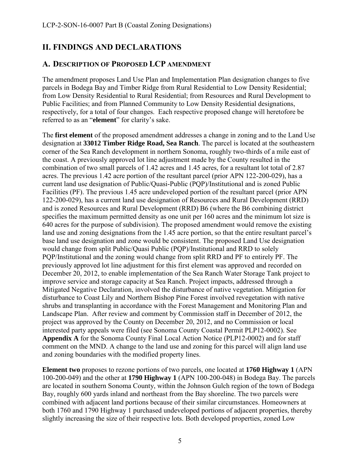# <span id="page-6-0"></span>**II. FINDINGS AND DECLARATIONS**

#### <span id="page-6-1"></span>**A. DESCRIPTION OF PROPOSED LCP AMENDMENT**

The amendment proposes Land Use Plan and Implementation Plan designation changes to five parcels in Bodega Bay and Timber Ridge from Rural Residential to Low Density Residential; from Low Density Residential to Rural Residential; from Resources and Rural Development to Public Facilities; and from Planned Community to Low Density Residential designations, respectively, for a total of four changes. Each respective proposed change will heretofore be referred to as an "**element**" for clarity's sake.

The **first element** of the proposed amendment addresses a change in zoning and to the Land Use designation at **33012 Timber Ridge Road, Sea Ranch**. The parcel is located at the southeastern corner of the Sea Ranch development in northern Sonoma, roughly two-thirds of a mile east of the coast. A previously approved lot line adjustment made by the County resulted in the combination of two small parcels of 1.42 acres and 1.45 acres, for a resultant lot total of 2.87 acres. The previous 1.42 acre portion of the resultant parcel (prior APN 122-200-029), has a current land use designation of Public/Quasi-Public (PQP)/Institutional and is zoned Public Facilities (PF). The previous 1.45 acre undeveloped portion of the resultant parcel (prior APN 122-200-029), has a current land use designation of Resources and Rural Development (RRD) and is zoned Resources and Rural Development (RRD) B6 (where the B6 combining district specifies the maximum permitted density as one unit per 160 acres and the minimum lot size is 640 acres for the purpose of subdivision). The proposed amendment would remove the existing land use and zoning designations from the 1.45 acre portion, so that the entire resultant parcel's base land use designation and zone would be consistent. The proposed Land Use designation would change from split Public/Quasi Public (PQP)/Institutional and RRD to solely PQP/Institutional and the zoning would change from split RRD and PF to entirely PF. The previously approved lot line adjustment for this first element was approved and recorded on December 20, 2012, to enable implementation of the Sea Ranch Water Storage Tank project to improve service and storage capacity at Sea Ranch. Project impacts, addressed through a Mitigated Negative Declaration, involved the disturbance of native vegetation. Mitigation for disturbance to Coast Lily and Northern Bishop Pine Forest involved revegetation with native shrubs and transplanting in accordance with the Forest Management and Monitoring Plan and Landscape Plan. After review and comment by Commission staff in December of 2012, the project was approved by the County on December 20, 2012, and no Commission or local interested party appeals were filed (see Sonoma County Coastal Permit PLP12-0002). See **Appendix A** for the Sonoma County Final Local Action Notice (PLP12-0002) and for staff comment on the MND. A change to the land use and zoning for this parcel will align land use and zoning boundaries with the modified property lines.

**Element two** proposes to rezone portions of two parcels, one located at **1760 Highway 1** (APN 100-200-049) and the other at **1790 Highway 1** (APN 100-200-048) in Bodega Bay. The parcels are located in southern Sonoma County, within the Johnson Gulch region of the town of Bodega Bay, roughly 600 yards inland and northeast from the Bay shoreline. The two parcels were combined with adjacent land portions because of their similar circumstances. Homeowners at both 1760 and 1790 Highway 1 purchased undeveloped portions of adjacent properties, thereby slightly increasing the size of their respective lots. Both developed properties, zoned Low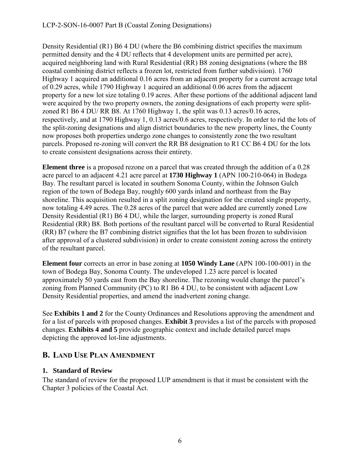#### LCP-2-SON-16-0007 Part B (Coastal Zoning Designations)

Density Residential (R1) B6 4 DU (where the B6 combining district specifies the maximum permitted density and the 4 DU reflects that 4 development units are permitted per acre), acquired neighboring land with Rural Residential (RR) B8 zoning designations (where the B8 coastal combining district reflects a frozen lot, restricted from further subdivision). 1760 Highway 1 acquired an additional 0.16 acres from an adjacent property for a current acreage total of 0.29 acres, while 1790 Highway 1 acquired an additional 0.06 acres from the adjacent property for a new lot size totaling 0.19 acres. After these portions of the additional adjacent land were acquired by the two property owners, the zoning designations of each property were splitzoned R1 B6 4 DU/ RR B8. At 1760 Highway 1, the split was  $0.13$  acres/ $0.16$  acres, respectively, and at 1790 Highway 1, 0.13 acres/0.6 acres, respectively. In order to rid the lots of the split-zoning designations and align district boundaries to the new property lines, the County now proposes both properties undergo zone changes to consistently zone the two resultant parcels. Proposed re-zoning will convert the RR B8 designation to R1 CC B6 4 DU for the lots to create consistent designations across their entirety.

**Element three** is a proposed rezone on a parcel that was created through the addition of a 0.28 acre parcel to an adjacent 4.21 acre parcel at **1730 Highway 1** (APN 100-210-064) in Bodega Bay. The resultant parcel is located in southern Sonoma County, within the Johnson Gulch region of the town of Bodega Bay, roughly 600 yards inland and northeast from the Bay shoreline. This acquisition resulted in a split zoning designation for the created single property, now totaling 4.49 acres. The 0.28 acres of the parcel that were added are currently zoned Low Density Residential (R1) B6 4 DU, while the larger, surrounding property is zoned Rural Residential (RR) B8. Both portions of the resultant parcel will be converted to Rural Residential (RR) B7 (where the B7 combining district signifies that the lot has been frozen to subdivision after approval of a clustered subdivision) in order to create consistent zoning across the entirety of the resultant parcel.

**Element four** corrects an error in base zoning at **1050 Windy Lane** (APN 100-100-001) in the town of Bodega Bay, Sonoma County. The undeveloped 1.23 acre parcel is located approximately 50 yards east from the Bay shoreline. The rezoning would change the parcel's zoning from Planned Community (PC) to R1 B6 4 DU, to be consistent with adjacent Low Density Residential properties, and amend the inadvertent zoning change.

See **Exhibits 1 and 2** for the County Ordinances and Resolutions approving the amendment and for a list of parcels with proposed changes. **Exhibit 3** provides a list of the parcels with proposed changes. **Exhibits 4 and 5** provide geographic context and include detailed parcel maps depicting the approved lot-line adjustments.

# <span id="page-7-0"></span>**B. LAND USE PLAN AMENDMENT**

#### <span id="page-7-1"></span>**1. Standard of Review**

The standard of review for the proposed LUP amendment is that it must be consistent with the Chapter 3 policies of the Coastal Act.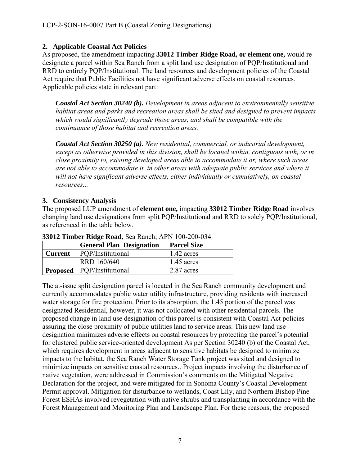#### <span id="page-8-0"></span>**2. Applicable Coastal Act Policies**

As proposed, the amendment impacting **33012 Timber Ridge Road, or element one,** would redesignate a parcel within Sea Ranch from a split land use designation of PQP/Institutional and RRD to entirely PQP/Institutional. The land resources and development policies of the Coastal Act require that Public Facilities not have significant adverse effects on coastal resources. Applicable policies state in relevant part:

*Coastal Act Section 30240 (b). Development in areas adjacent to environmentally sensitive habitat areas and parks and recreation areas shall be sited and designed to prevent impacts which would significantly degrade those areas, and shall be compatible with the continuance of those habitat and recreation areas.* 

*Coastal Act Section 30250 (a). New residential, commercial, or industrial development, except as otherwise provided in this division, shall be located within, contiguous with, or in close proximity to, existing developed areas able to accommodate it or, where such areas are not able to accommodate it, in other areas with adequate public services and where it will not have significant adverse effects, either individually or cumulatively, on coastal resources...* 

#### **3. Consistency Analysis**

The proposed LUP amendment of **element one,** impacting **33012 Timber Ridge Road** involves changing land use designations from split PQP/Institutional and RRD to solely PQP/Institutional, as referenced in the table below.

|                | <b>General Plan Designation</b>     | <b>Parcel Size</b> |
|----------------|-------------------------------------|--------------------|
| <b>Current</b> | POP/Institutional                   | 1.42 acres         |
|                | <b>RRD 160/640</b>                  | $1.45$ acres       |
|                | <b>Proposed</b>   PQP/Institutional | $2.87$ acres       |

**33012 Timber Ridge Road**, Sea Ranch; APN 100-200-034

The at-issue split designation parcel is located in the Sea Ranch community development and currently accommodates public water utility infrastructure, providing residents with increased water storage for fire protection. Prior to its absorption, the 1.45 portion of the parcel was designated Residential, however, it was not collocated with other residential parcels. The proposed change in land use designation of this parcel is consistent with Coastal Act policies assuring the close proximity of public utilities land to service areas. This new land use designation minimizes adverse effects on coastal resources by protecting the parcel's potential for clustered public service-oriented development As per Section 30240 (b) of the Coastal Act, which requires development in areas adjacent to sensitive habitats be designed to minimize impacts to the habitat, the Sea Ranch Water Storage Tank project was sited and designed to minimize impacts on sensitive coastal resources.. Project impacts involving the disturbance of native vegetation, were addressed in Commission's comments on the Mitigated Negative Declaration for the project, and were mitigated for in Sonoma County's Coastal Development Permit approval. Mitigation for disturbance to wetlands, Coast Lily, and Northern Bishop Pine Forest ESHAs involved revegetation with native shrubs and transplanting in accordance with the Forest Management and Monitoring Plan and Landscape Plan. For these reasons, the proposed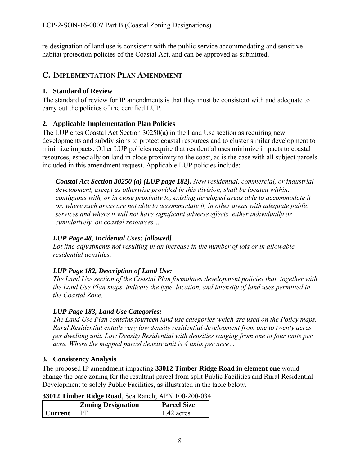re-designation of land use is consistent with the public service accommodating and sensitive habitat protection policies of the Coastal Act, and can be approved as submitted.

# <span id="page-9-0"></span>**C. IMPLEMENTATION PLAN AMENDMENT**

# <span id="page-9-1"></span>**1. Standard of Review**

The standard of review for IP amendments is that they must be consistent with and adequate to carry out the policies of the certified LUP.

# <span id="page-9-2"></span>**2. Applicable Implementation Plan Policies**

The LUP cites Coastal Act Section 30250(a) in the Land Use section as requiring new developments and subdivisions to protect coastal resources and to cluster similar development to minimize impacts. Other LUP policies require that residential uses minimize impacts to coastal resources, especially on land in close proximity to the coast, as is the case with all subject parcels included in this amendment request. Applicable LUP policies include:

*Coastal Act Section 30250 (a) (LUP page 182). New residential, commercial, or industrial development, except as otherwise provided in this division, shall be located within, contiguous with, or in close proximity to, existing developed areas able to accommodate it or, where such areas are not able to accommodate it, in other areas with adequate public services and where it will not have significant adverse effects, either individually or cumulatively, on coastal resources…* 

# *LUP Page 48, Incidental Uses: [allowed]*

*Lot line adjustments not resulting in an increase in the number of lots or in allowable residential densities.* 

# *LUP Page 182, Description of Land Use:*

*The Land Use section of the Coastal Plan formulates development policies that, together with the Land Use Plan maps, indicate the type, location, and intensity of land uses permitted in the Coastal Zone.* 

# *LUP Page 183, Land Use Categories:*

*The Land Use Plan contains fourteen land use categories which are used on the Policy maps. Rural Residential entails very low density residential development from one to twenty acres per dwelling unit. Low Density Residential with densities ranging from one to four units per acre. Where the mapped parcel density unit is 4 units per acre…* 

# <span id="page-9-3"></span>**3. Consistency Analysis**

The proposed IP amendment impacting **33012 Timber Ridge Road in element one** would change the base zoning for the resultant parcel from split Public Facilities and Rural Residential Development to solely Public Facilities, as illustrated in the table below.

**33012 Timber Ridge Road**, Sea Ranch; APN 100-200-034

|         | <b>Zoning Designation</b> | <b>Parcel Size</b> |
|---------|---------------------------|--------------------|
| Current |                           | 1.42 acres         |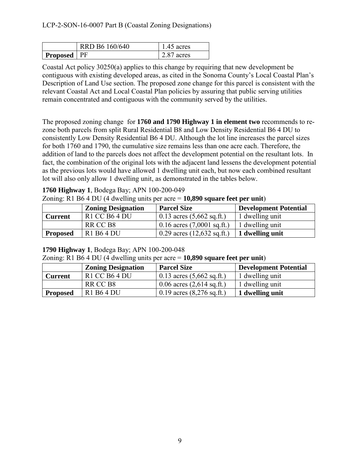|                      | RRD B6 160/640 | $1.45$ acres |
|----------------------|----------------|--------------|
| <b>Proposed</b>   PF |                | 2.87 acres   |

Coastal Act policy 30250(a) applies to this change by requiring that new development be contiguous with existing developed areas, as cited in the Sonoma County's Local Coastal Plan's Description of Land Use section. The proposed zone change for this parcel is consistent with the relevant Coastal Act and Local Coastal Plan policies by assuring that public serving utilities remain concentrated and contiguous with the community served by the utilities.

The proposed zoning change for **1760 and 1790 Highway 1 in element two** recommends to rezone both parcels from split Rural Residential B8 and Low Density Residential B6 4 DU to consistently Low Density Residential B6 4 DU. Although the lot line increases the parcel sizes for both 1760 and 1790, the cumulative size remains less than one acre each. Therefore, the addition of land to the parcels does not affect the development potential on the resultant lots. In fact, the combination of the original lots with the adjacent land lessens the development potential as the previous lots would have allowed 1 dwelling unit each, but now each combined resultant lot will also only allow 1 dwelling unit, as demonstrated in the tables below.

# **1760 Highway 1**, Bodega Bay; APN 100-200-049

| Zoning: R1 B6 4 DU (4 dwelling units per acre $= 10,890$ square feet per unit) |  |  |  |
|--------------------------------------------------------------------------------|--|--|--|
|--------------------------------------------------------------------------------|--|--|--|

|                 | <b>Zoning Designation</b> | <b>Parcel Size</b>                   | Development Potential |
|-----------------|---------------------------|--------------------------------------|-----------------------|
| <b>Current</b>  | $R1$ CC B6 4 DU           | 0.13 acres $(5,662 \text{ sq.ft.})$  | 1 dwelling unit       |
|                 | RR CC B <sub>8</sub>      | 0.16 acres $(7,0001 \text{ sq.ft.})$ | 1 dwelling unit       |
| <b>Proposed</b> | R1 B6 4 DU                | 0.29 acres $(12,632 \text{ sq.ft.})$ | 1 dwelling unit       |

**<sup>1790</sup> Highway 1**, Bodega Bay; APN 100-200-048

Zoning: R1 B6 4 DU (4 dwelling units per acre = **10,890 square feet per unit**)

|                 | <b>Zoning Designation</b> | <b>Parcel Size</b>                  | Development Potential |
|-----------------|---------------------------|-------------------------------------|-----------------------|
| <b>Current</b>  | $R1$ CC B6 4 DU           | 0.13 acres $(5,662 \text{ sq.ft.})$ | 1 dwelling unit       |
|                 | RR CC B <sub>8</sub>      | 0.06 acres $(2,614 \text{ sq.ft.})$ | 1 dwelling unit       |
| <b>Proposed</b> | R1 B6 4 DU                | $0.19$ acres $(8,276$ sq.ft.)       | 1 dwelling unit       |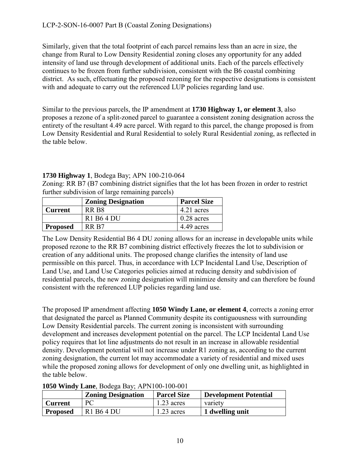Similarly, given that the total footprint of each parcel remains less than an acre in size, the change from Rural to Low Density Residential zoning closes any opportunity for any added intensity of land use through development of additional units. Each of the parcels effectively continues to be frozen from further subdivision, consistent with the B6 coastal combining district. As such, effectuating the proposed rezoning for the respective designations is consistent with and adequate to carry out the referenced LUP policies regarding land use.

Similar to the previous parcels, the IP amendment at **1730 Highway 1, or element 3**, also proposes a rezone of a split-zoned parcel to guarantee a consistent zoning designation across the entirety of the resultant 4.49 acre parcel. With regard to this parcel, the change proposed is from Low Density Residential and Rural Residential to solely Rural Residential zoning, as reflected in the table below.

#### **1730 Highway 1**, Bodega Bay; APN 100-210-064

Zoning: RR B7 (B7 combining district signifies that the lot has been frozen in order to restrict further subdivision of large remaining parcels)

|                 | <b>Zoning Designation</b> | <b>Parcel Size</b> |
|-----------------|---------------------------|--------------------|
| <b>Current</b>  | RR B8                     | 4.21 acres         |
|                 | R1 B6 4 DU                | $0.28$ acres       |
| <b>Proposed</b> | RR B7                     | 4.49 acres         |

The Low Density Residential B6 4 DU zoning allows for an increase in developable units while proposed rezone to the RR B7 combining district effectively freezes the lot to subdivision or creation of any additional units. The proposed change clarifies the intensity of land use permissible on this parcel. Thus, in accordance with LCP Incidental Land Use, Description of Land Use, and Land Use Categories policies aimed at reducing density and subdivision of residential parcels, the new zoning designation will minimize density and can therefore be found consistent with the referenced LUP policies regarding land use.

The proposed IP amendment affecting **1050 Windy Lane, or element 4**, corrects a zoning error that designated the parcel as Planned Community despite its contiguousness with surrounding Low Density Residential parcels. The current zoning is inconsistent with surrounding development and increases development potential on the parcel. The LCP Incidental Land Use policy requires that lot line adjustments do not result in an increase in allowable residential density. Development potential will not increase under R1 zoning as, according to the current zoning designation, the current lot may accommodate a variety of residential and mixed uses while the proposed zoning allows for development of only one dwelling unit, as highlighted in the table below.

| <b>1030 WHILEY LAHE, DOUCED DAY, AT INTUO-TOO-001</b> |                           |                    |                              |  |
|-------------------------------------------------------|---------------------------|--------------------|------------------------------|--|
|                                                       | <b>Zoning Designation</b> | <b>Parcel Size</b> | <b>Development Potential</b> |  |
| <b>Current</b>                                        | PC.                       | $1.23$ acres       | variety                      |  |
| <b>Proposed</b>                                       | R1 B6 4 DU                | $1.23$ acres       | 1 dwelling unit              |  |

**1050 Windy Lane**, Bodega Bay; APN100-100-001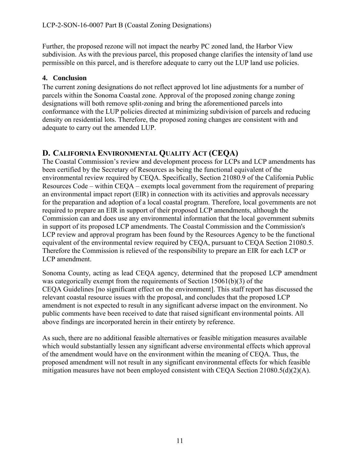Further, the proposed rezone will not impact the nearby PC zoned land, the Harbor View subdivision. As with the previous parcel, this proposed change clarifies the intensity of land use permissible on this parcel, and is therefore adequate to carry out the LUP land use policies.

#### <span id="page-12-0"></span>**4. Conclusion**

The current zoning designations do not reflect approved lot line adjustments for a number of parcels within the Sonoma Coastal zone. Approval of the proposed zoning change zoning designations will both remove split-zoning and bring the aforementioned parcels into conformance with the LUP policies directed at minimizing subdivision of parcels and reducing density on residential lots. Therefore, the proposed zoning changes are consistent with and adequate to carry out the amended LUP.

# <span id="page-12-1"></span>**D. CALIFORNIA ENVIRONMENTAL QUALITY ACT (CEQA)**

The Coastal Commission's review and development process for LCPs and LCP amendments has been certified by the Secretary of Resources as being the functional equivalent of the environmental review required by CEQA. Specifically, Section 21080.9 of the California Public Resources Code – within CEQA – exempts local government from the requirement of preparing an environmental impact report (EIR) in connection with its activities and approvals necessary for the preparation and adoption of a local coastal program. Therefore, local governments are not required to prepare an EIR in support of their proposed LCP amendments, although the Commission can and does use any environmental information that the local government submits in support of its proposed LCP amendments. The Coastal Commission and the Commission's LCP review and approval program has been found by the Resources Agency to be the functional equivalent of the environmental review required by CEQA, pursuant to CEQA Section 21080.5. Therefore the Commission is relieved of the responsibility to prepare an EIR for each LCP or LCP amendment.

Sonoma County, acting as lead CEQA agency, determined that the proposed LCP amendment was categorically exempt from the requirements of Section 15061(b)(3) of the CEQA Guidelines [no significant effect on the environment]. This staff report has discussed the relevant coastal resource issues with the proposal, and concludes that the proposed LCP amendment is not expected to result in any significant adverse impact on the environment. No public comments have been received to date that raised significant environmental points. All above findings are incorporated herein in their entirety by reference.

As such, there are no additional feasible alternatives or feasible mitigation measures available which would substantially lessen any significant adverse environmental effects which approval of the amendment would have on the environment within the meaning of CEQA. Thus, the proposed amendment will not result in any significant environmental effects for which feasible mitigation measures have not been employed consistent with CEQA Section 21080.5(d)(2)(A).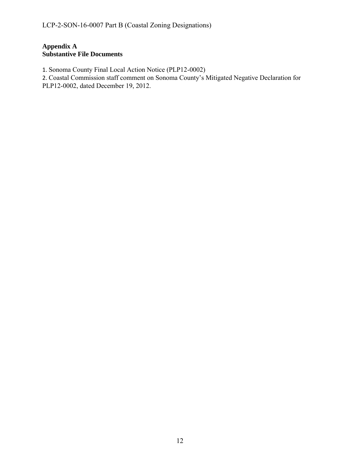#### **Appendix A Substantive File Documents**

1. Sonoma County Final Local Action Notice (PLP12-0002)

2. Coastal Commission staff comment on Sonoma County's Mitigated Negative Declaration for

PLP12-0002, dated December 19, 2012.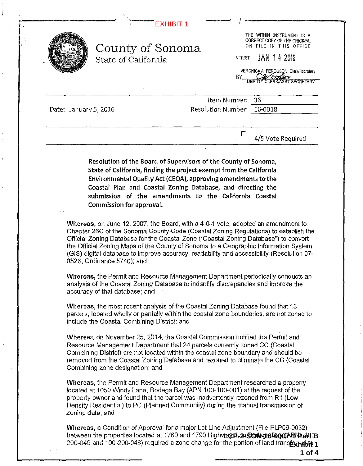<span id="page-14-0"></span>

|                       | County of Sonoma<br>State of California | BY                                            | THE WITHIN INSTRUMENT IS A<br>CORRECT COPY OF THE ORIGINAL<br>ON FILE IN THIS OFFICE<br>ATTEST: JAN 1 4 2016<br>VERONICA A. FERGUSON, Clerk/Secretary<br><b>DEPUTY CLERK/ASST SECRETARY</b> |
|-----------------------|-----------------------------------------|-----------------------------------------------|---------------------------------------------------------------------------------------------------------------------------------------------------------------------------------------------|
| Date: January 5, 2016 |                                         | Item Number: 36<br>Resolution Number: 16-0018 |                                                                                                                                                                                             |
|                       |                                         | i s                                           |                                                                                                                                                                                             |

Resolution of the Board of Supervisors of the County of Sonoma, State of California, finding the project exempt from the California Environmental Quality Act (CEQA), approving amendments to the Coastal Plan and Coastal Zoning Database, and directing the submission of the amendments to the California Coastal Commission for approval.

Whereas, on June 12, 2007, the Board, with a 4-0-1 vote, adopted an amendment to Chapter 26C of the Sonoma County Code (Coastal Zoning Regulations) to establish the Official Zoning Database for the Coastal Zone ("Coastal Zoning Database") to convert the Official Zoning Maps of the County of Sonoma to a Geographic Information System (GIS) digital database to improve accuracy, readability and accessibility (Resolution 07- 0526, Ordinance 5740); and

Whereas, the Permit and Resource Management Department periodically conducts an analysis of the Coastal Zoning Database to indentify discrepancies and improve the accuracy of that database; and

Whereas, the most recent analysis of the Coastal Zoning Database found that 13 parcels, located wholly or partially within the coastal zone boundaries, are not zoned to include the Coastal Combining District; and

Whereas, on November 25, 2014, the Coastal Commission notified the Permit and Resource Management Department that 24 parcels currently zoned CC (Coastal Combining District) are not located within the coastal zone boundary and should be removed from the Coastal Zoning Database and rezoned to eliminate the CC (Coastal Combining zone designation; and

Whereas, the Permit and Resource Management Department researched a property located at 1050 Windy Lane, Bodega Bay (APN 100-100-001) at the request of the property owner and found that the parcel was inadvertently rezoned from R1 (Low Density Residential) to PC (Planned Community) during the manual transmission of zoning data; and

Whereas, a Condition of Approval for a major Lot Line Adjustment (File PLP09-0032) between the properties located at 1760 and 1790 Highw**ac***p.***'n Sowers Bood≯-PNPart B** 200-049 and 100-200-048) required a zone change for the portion of land trans**fexienbit 1**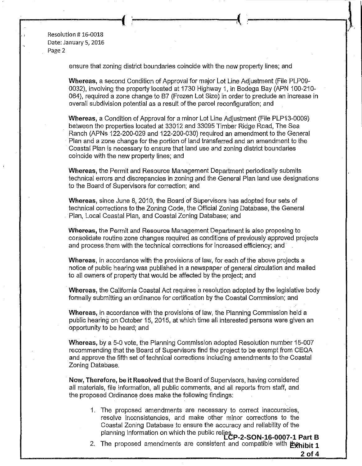Resolution# 16-0018 Date: January 5, 2016 Page 2

ensure that zoning district boundaries coincide with the new property lines; and

r-----------------~-i **l** ·~----------------~·

**Whereas,** a second Condition of Approval for major Lot Line Adjustment (File PLP09- 0032), involving the property located at 1730 Highway 1, in Bodega Bay (APN 100-210- 064), required a zone change to B7 (Frozen Lot Size) in order to preclude an increase in overall subdivision potential as a result of the parcel reconfiguration; and

**Whereas,** a Condition of Approval for a minor Lot Line Adjustment (File PLP13-0009) between the properties located at 33012 and 33095 Timber Ridge Road, The Sea Ranch (APNs 122-200-029 and 122-200-030) required an amendment to the General Plan and a zone change for the portion of land transferred and an amendment to the Coastal Plan is necessary to ensure that land use and zoning district boundaries coincide with the new property lines; and

**Whereas,** the Permit and Resource Management Department periodically submits technical errors and discrepancies in zoning and the General Plan land use designations to the Board of SuperVisors for correction; and

**Whereas,** since June 8, 2010, the Board of Supervisors has adopted four sets of technical corrections to the Zoning Code, the Official Zoning Database, the General Plan, Local Coastal Plan, and Coastal Zoning Database; and

**Whereas,** the Permit and Resource Management Department is also proposing to consolidate routine zone changes required as conditions of previously approved projects and process them with the technical corrections for increased efficiency; and

**Whereas,** in accordance with the provisions of law, for each of the above projects a notice of public hearing was published in a newspaper of general circulation and mailed to all owners of property that would be affected by the project; and

**Whereas,** the California Coastal Act requires a resolution adopted by the legislative body formally submitting an ordinance for certification by the Coastal Commission; and

**Whereas,** in accordance with the provisions of law, the Planning Commission held a public hearing on October 15, 2015, at which time all interested persons were given an opportunity to be heard; and

**Whereas,** by a 5-0 vote, the Planning Commission adopted Resolution number 15-007 recommending that the Board of Supervisors find the project to be exempt from CEQA and approve the fifth set of technical corrections including amendments to the Coastal Zoning Database.

**Now, Therefore, be it Resolved** that the Board of Supervisors, having considered all materials, file information, all public comments, and all reports from staff, and the proposed Ordinance does make the following findings:

- 1. The proposed amendments are necessary to correct inaccuracies, resolve inconsistencies, and make other minor corrections to the Coastal Zoning Database to ensure the accuracy and reliability of the planning information on which the public relies. **LCP-2-SON-16-0007-1 Part B**
- 2. The proposed amendments are consistent and compatible with **Exhibit 1 2 of 4**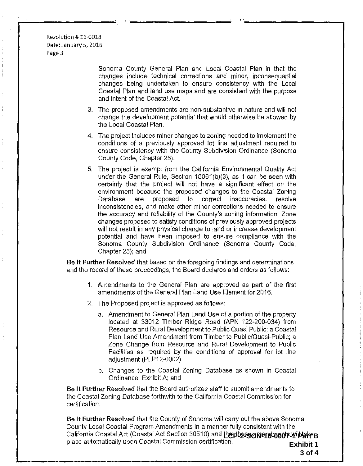Resolution# 16-0018 Date: January 5, 2016 Page 3

> Sonoma County General Plan and Local Coastal Plan in that the changes include technical corrections and minor, inconsequential changes being undertaken to ensure consistency with the Local Coastal Plan and land use maps and are consistent with the purpose and intent of the Coastal Act.

- 3. The proposed amendments are non-substantive in nature and will not change the development potential that would otherwise be allowed by the Local Coastal Plan.
- 4. The project includes minor changes to zoning needed to implement the conditions of a previously approved lot line adjustment required to ensure consistency with the County Subdivision Ordinance (Sonoma County Code, Chapter 25).
- 5. The project is exempt from the California Environmental Quality Act under the General Rule, Section 15061(b)(3), as it can be seen with certainty that the project will not have a significant effect on the environment because the proposed changes to the Coastal Zoning Database are proposed to correct inaccuracies, resolve inconsistencies, and make other minor corrections needed to ensure the accuracy and reliability of the County's zoning information. Zone changes proposed to satisfy conditions of previously approved projects will not result in any physical change to land or increase development potential and have been imposed to ensure compliance with the Sonoma County Subdivision Ordinance (Sonoma County Code, Chapter 25); and

Be It **Further** Resolved that based on the foregoing findings and determinations and the record of these proceedings, the Board declares and orders as follows:

- 1. Amendments to the General Plan are approved as part of the first amendments of the General Plan Land Use Element for 2016.
- 2. The Proposed project is approved as follows:
	- a. Amendment to General Plan Land Use of a portion of the property located at 33012 Timber Ridge Road (APN 122-200-034) from Resource and Rural Development to Public Quasi Public; a Coastal Plan Land Use Amendment from Timber to Public!Quasi-Public; a Zone Change from Resource and Rural Development to Public Facilities as required by the conditions of approval for lot line adjustment (PLP12-0002).
	- b. Changes to the Coastal Zoning Database as shown in Coastal Ordinance, Exhibit A; and

Be **It** Further Resolved that the Board authorizes staff to submit amendments to the Coastal Zoning Database forthwith to the California Coastal Commission for certification.

Be It Further Resolved that the County of Sonoma will carry out the above Sonoma County Local Coastal Program Amendments in a manner fully consistent with the California Coastal Act (Coastal Act Section 30510) and **that these concretion of Part B** place automatically upon Coastal Commission certification. **Exhibit 1** 

'·--------..,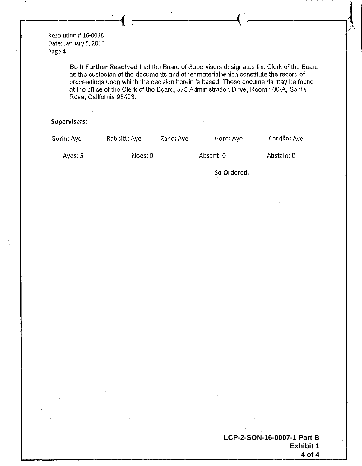Resolution #16-0018 Date: January 5, 2016 Page 4

> **Be It Further Resolved** that the Board of Supervisors designates the Clerk of the Board as the custodian of the documents and other material which constitute the record of proceedings upon which the decision herein is based. These documents may be found at the office of the Clerk of the Board, 575 Administration Drive, Room 100-A, Santa Rosa, California 95403.

**<sup>I</sup>-------.J ,-----------1,** .'- !

/·

#### **Supervisors:**

| Gorin: Aye | Rabbitt: Aye | Zane: Aye | Gore: Aye   | Carrillo: Aye |
|------------|--------------|-----------|-------------|---------------|
| Ayes: $5$  | Noes: 0      |           | Absent: 0   | Abstain: 0    |
|            |              |           | So Ordered. |               |

**LCP-2-SON-16-0007-1 Part B Exhibit 1 4 of 4**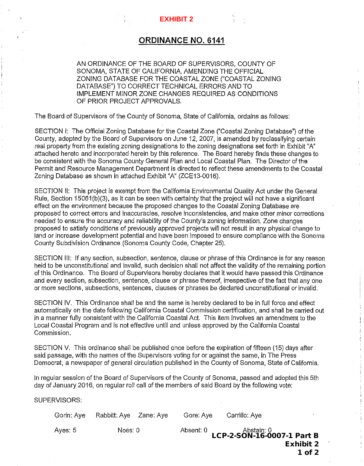#### **ORDINANCE NO. 6141**

<span id="page-18-0"></span>AN ORDINANCE OF THE BOARD OF SUPERVISORS, COUNTY OF SONOMA, STATE OF CALIFORNIA, AMENDING THE OFFICIAL ZONING DATABASE FOR THE COASTAL ZONE ("COASTAL ZONING DATABASE") TO CORRECT TECHNICAL ERRORS AND TO IMPLEMENT MINOR ZONE CHANGES REQUIRED AS CONDITIONS OF PRIOR PROJECT APPROVALS.

The Board of Supervisors of the County of Sonoma, State of California, ordains as follows:

SECTION 1: The Official Zoning Database for the Coastal Zone ("Coastal Zoning Database") of the County, adopted by the Board of Supervisors on June 12, 2007, is amended by reclassifying certain real property from the existing zoning designations to the zoning designations set forth in Exhibit "A" attached hereto and incorporated herein by this reference. The Board hereby finds these changes to be consistent with the Sonoma County General Plan and Local Coastal Plan. The Director of the Permit and Resource Management Department is directed to reflect these amendments to the Coastal Zoning Database as shown in attached Exhibit "A" (ZCE13-0016).

SECTION II: This project is exempt from the California Environmental Quality Act under the General Rule, Section 15061(b)(3), as it can be seen with certainty that the project will not have a significant effect on the environment because the proposed changes to the Coastal Zoning Database are proposed to correct errors and inaccuracies, resolve inconsistencies, and make other minor corrections needed to ensure the accuracy and reliability of the County's zoning information. Zone changes proposed to satisfy conditions of previously approved projects will not result in any physical change to land or increase development potential and have been imposed to ensure compliance with the Sonoma County Subdivision Ordinance (Sonoma County Code, Chapter 25).

SECTION Ill: If any section, subsection, sentence, clause or phrase of this Ordinance is for any reason held to be unconstitutional and invalid, such decision shall not affect the validity of the remaining portion of this Ordinance. The Board of Supervisors hereby declares that it would have passed this Ordinance and every section, subsection, sentence, clause or phrase thereof, irrespective of the fact that any one or more sections, subsections, sentences, clauses or phrases be declared unconstitutional or invalid.

SECTION IV. This Ordinance shall be and the same is hereby declared to be in full force and effect automatically on the date following California Coastal Commission certification, and shall be carried out in a manner fully consistent with the California Coastal Act. This item involves an amendment to the Local Coastal Program and is not effective until and unless approved by the California Coastal Commission.

SECTION V. This ordinance shall be published once before the expiration of fifteen (15) days after said passage, with the names of the Supervisors voting for or against the same, in The Press Democrat, a newspaper of general circulation published in the County of Sonoma, State of California.

In regular session of the Board of Supervisors of the County of Sonoma, passed and adopted this 5th day of January 2016, on regular roll call of the members of said Board by the following vote:

SUPERVISORS:

|                  | Carrillo: Ave                            | Gore: Aye | Rabbitt: Aye Zane: Aye | Gorin: Ave |
|------------------|------------------------------------------|-----------|------------------------|------------|
|                  | Abstain: 0<br>LCP-2-SON-16-0007-1 Part B | Absent: 0 | Noes: 0                | Ayes: 5    |
| <b>Exhibit 2</b> |                                          |           |                        |            |
| 1 of 2           |                                          |           |                        |            |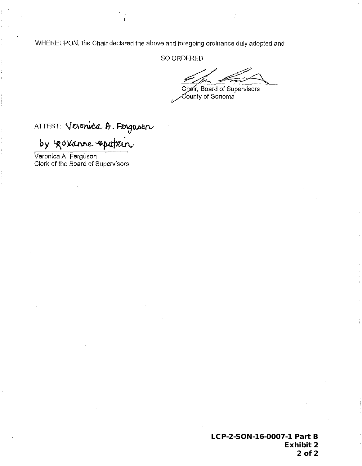WHEREUPON, the Chair declared the above and foregoing ordinance duly adopted and

SO ORDERED

Chair, Board of Supervisors  $\check{\mathrm{c}}$ ounty of Sonoma $\check{\mathrm{c}}$ 

ATTEST: Veronica A. Ferguson

by govanne epstein

Veronica A. Ferguson Clerk of the Board of Supervisors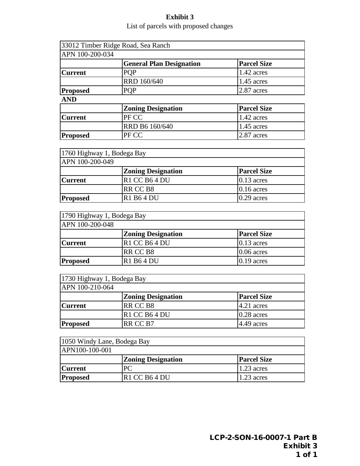#### **Exhibit 3** List of parcels with proposed changes

<span id="page-20-0"></span>

|                 | 33012 Timber Ridge Road, Sea Ranch |                    |
|-----------------|------------------------------------|--------------------|
| APN 100-200-034 |                                    |                    |
|                 | <b>General Plan Designation</b>    | <b>Parcel Size</b> |
| <b>Current</b>  | <b>PQP</b>                         | 1.42 acres         |
|                 | RRD 160/640                        | 1.45 acres         |
| <b>Proposed</b> | <b>PQP</b>                         | $2.87$ acres       |
| <b>AND</b>      |                                    |                    |
|                 | <b>Zoning Designation</b>          | <b>Parcel Size</b> |
| lCurrent        | PFCC                               | $\Delta$ ? acres   |

| <b>Current</b>  | PF CC          | $1.42$ acres      |
|-----------------|----------------|-------------------|
|                 | RRD B6 160/640 | $\sqrt{45}$ acres |
| <b>Proposed</b> | PF CC          | $2.87$ acres      |
|                 |                |                   |

| 1760 Highway 1, Bodega Bay |                           |                    |
|----------------------------|---------------------------|--------------------|
| APN 100-200-049            |                           |                    |
|                            | <b>Zoning Designation</b> | <b>Parcel Size</b> |
| <b>Current</b>             | R1 CC B64 DU              | $0.13$ acres       |
|                            | RR CC B8                  | $0.16$ acres       |
| <b>Proposed</b>            | R1 B6 4 DU                | $0.29$ acres       |

| 1790 Highway 1, Bodega Bay |                           |                    |  |
|----------------------------|---------------------------|--------------------|--|
| APN 100-200-048            |                           |                    |  |
|                            | <b>Zoning Designation</b> | <b>Parcel Size</b> |  |
| <b>Current</b>             | R1 CC B64 DU              | $0.13$ acres       |  |
|                            | RR CC B8                  | $0.06$ acres       |  |
| <b>Proposed</b>            | R1 B64 DU                 | $0.19$ acres       |  |

| 1730 Highway 1, Bodega Bay |                           |                    |
|----------------------------|---------------------------|--------------------|
| APN 100-210-064            |                           |                    |
|                            | <b>Zoning Designation</b> | <b>Parcel Size</b> |
| <b>Current</b>             | RR CC B8                  | $4.21$ acres       |
|                            | $R1$ CC B64 DU            | $0.28$ acres       |
| <b>Proposed</b>            | RR CC B7                  | $4.49$ acres       |

| 1050 Windy Lane, Bodega Bay |                                       |                    |
|-----------------------------|---------------------------------------|--------------------|
| APN100-100-001              |                                       |                    |
|                             | <b>Zoning Designation</b>             | <b>Parcel Size</b> |
| <b>Current</b>              | PС                                    | $1.23$ acres       |
| <b>Proposed</b>             | R <sub>1</sub> CC B <sub>6</sub> 4 DU | $1.23$ acres       |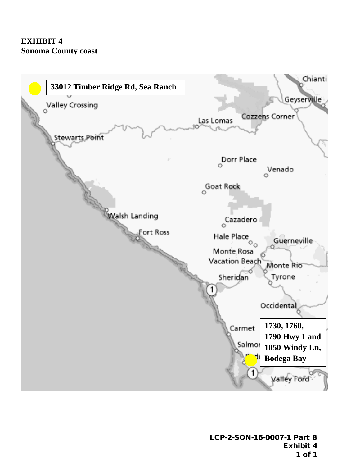<span id="page-21-0"></span>

LCP-2-SON-16-0007-1 Part B Exhibit 4 1 of 1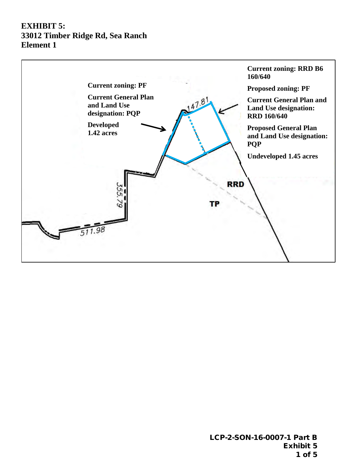# <span id="page-22-0"></span>**EXHIBIT 5: 33012 Timber Ridge Rd, Sea Ranch Element 1**

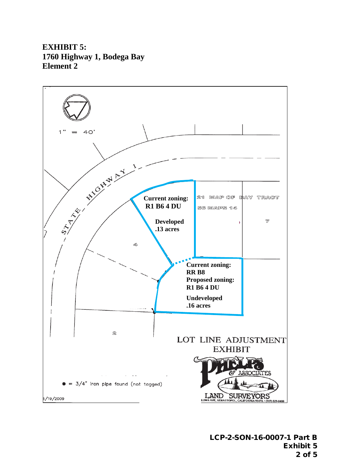# **EXHIBIT 5: 1760 Highway 1, Bodega Bay Element 2**

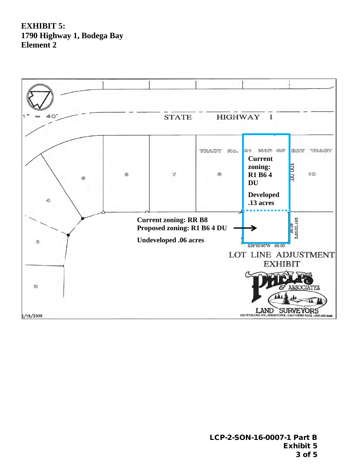# **EXHIBIT 5: 1790 Highway 1, Bodega Bay Element 2**

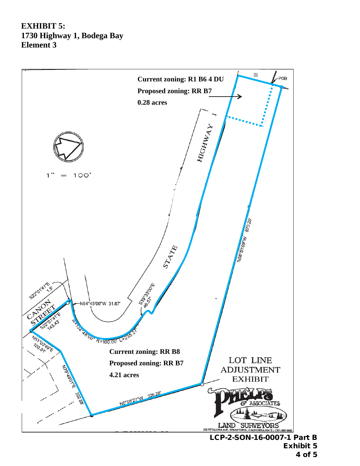# **EXHIBIT 5: 1730 Highway 1, Bodega Bay Element 3**

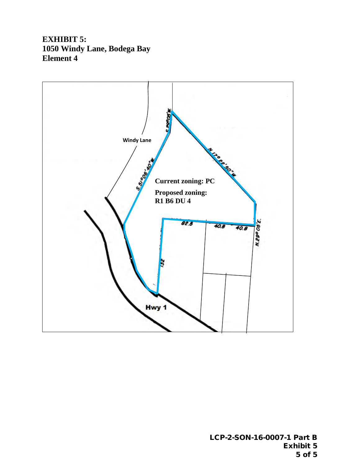**EXHIBIT 5: 1050 Windy Lane, Bodega Bay Element 4**

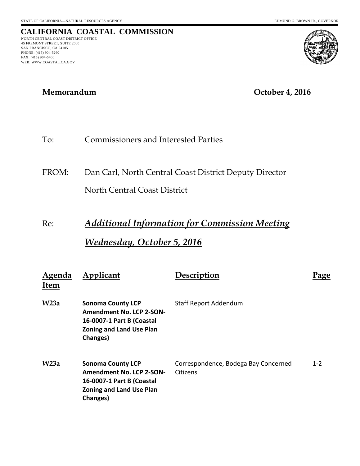NORTH CENTRAL COAST DISTRICT OFFICE 45 FREMONT STREET, SUITE 2000 SAN FRANCISCO, CA 94105 PHONE: (415) 904-5260 FAX: (415) 904-5400 WEB: WWW.COASTAL.CA.GOV

**CALIFORNIA COASTAL COMMISSION**

# **Memorandum October 4, 2016**

# To: Commissioners and Interested Parties

FROM: Dan Carl, North Central Coast District Deputy Director North Central Coast District

# Re: *Additional Information for Commission Meeting Wednesday, October 5, 2016*

| Agenda<br><b>Item</b> | Applicant                                                                                                                               | Description                                      | 'age    |
|-----------------------|-----------------------------------------------------------------------------------------------------------------------------------------|--------------------------------------------------|---------|
| W <sub>23a</sub>      | <b>Sonoma County LCP</b><br><b>Amendment No. LCP 2-SON-</b><br>16-0007-1 Part B (Coastal<br><b>Zoning and Land Use Plan</b><br>Changes) | <b>Staff Report Addendum</b>                     |         |
| W <sub>23a</sub>      | <b>Sonoma County LCP</b><br><b>Amendment No. LCP 2-SON-</b><br>16-0007-1 Part B (Coastal<br><b>Zoning and Land Use Plan</b><br>Changes) | Correspondence, Bodega Bay Concerned<br>Citizens | $1 - 2$ |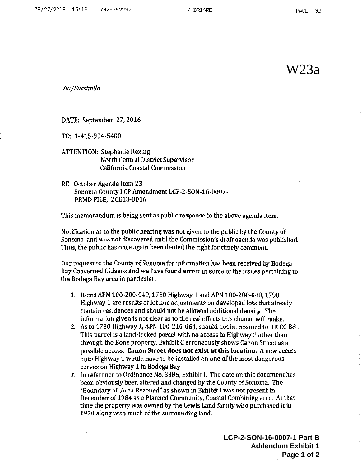W23a

Via/Facsimile

DATE: September 27, 2016

TO: 1-415-904-5400

**ATTENTION: Stephanie Rexing** North Central District Supervisor California Coastal Commission

RE: October Agenda Item 23 Sonoma County LCP Amendment LCP-2-SON-16-0007-1 PRMD FILE: ZCE13-0016

This memorandum is being sent as public response to the above agenda item.

Notification as to the public hearing was not given to the public by the County of Sonoma and was not discovered until the Commission's draft agenda was published. Thus, the public has once again been denied the right for timely comment.

Our request to the County of Sonoma for information has been received by Bodega Bay Concerned Citizens and we have found errors in some of the issues pertaining to the Bodega Bay area in particular.

- 1. Items APN 100-200-049, 1760 Highway 1 and APN 100-200-048, 1790 Highway 1 are results of lot line adjustments on developed lots that already contain residences and should not be allowed additional density. The information given is not clear as to the real effects this change will make.
- 2. As to 1730 Highway 1, APN 100-210-064, should not be rezoned to RR CC B8. This parcel is a land-locked parcel with no access to Highway 1 other than through the Bone property. Exhibit C erroneously shows Canon Street as a possible access. Canon Street does not exist at this location. A new access onto Highway 1 would have to be installed on one of the most dangerous curves on Highway 1 in Bodega Bay.
- 3. In reference to Ordinance No. 3386, Exhibit I. The date on this document has been obviously been altered and changed by the County of Sonoma. The "Boundary of Area Rezoned" as shown in Exhibit I was not present in December of 1984 as a Planned Community, Coastal Combining area. At that time the property was owned by the Lewis Land family who purchased it in 1970 along with much of the surrounding land.

**LCP-2-SON-16-0007-1 Part B Addendum Exhibit 1 Page 1 of 2**